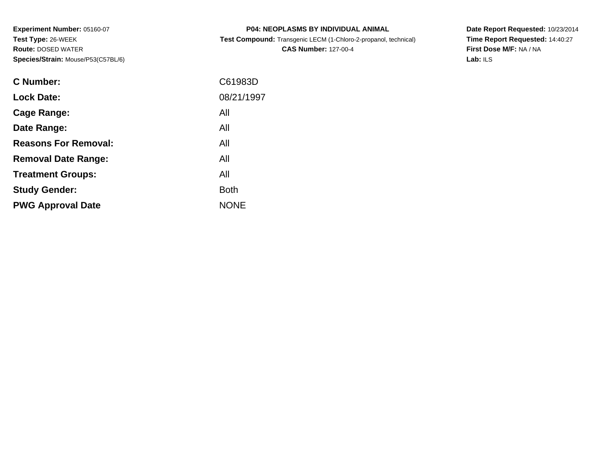**Experiment Number:** 05160-07**Test Type:** 26-WEEK **Route:** DOSED WATER**Species/Strain:** Mouse/P53(C57BL/6)

| <b>P04: NEOPLASMS BY INDIVIDUAL ANIMAL</b>                             |  |
|------------------------------------------------------------------------|--|
| <b>Test Compound:</b> Transgenic LECM (1-Chloro-2-propanol, technical) |  |

**CAS Number:** 127-00-4

**Date Report Requested:** 10/23/2014 **Time Report Requested:** 14:40:27**First Dose M/F:** NA / NA**Lab:** ILS

| C61983D     |
|-------------|
| 08/21/1997  |
| All         |
| All         |
| All         |
| All         |
| All         |
| <b>Both</b> |
| <b>NONE</b> |
|             |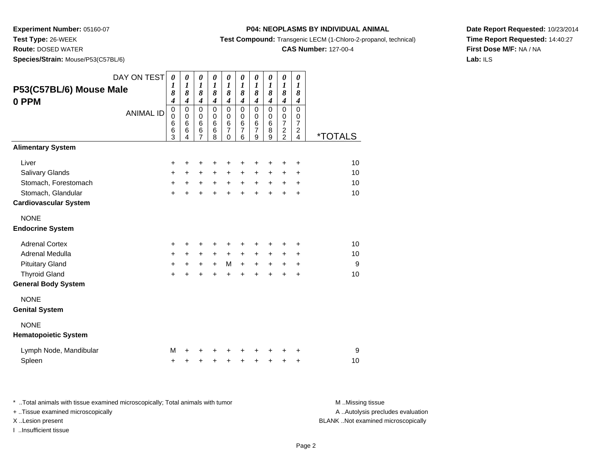**Test Type:** 26-WEEK

**Route:** DOSED WATER

**Species/Strain:** Mouse/P53(C57BL/6)

#### **P04: NEOPLASMS BY INDIVIDUAL ANIMAL**

**Test Compound:** Transgenic LECM (1-Chloro-2-propanol, technical)

### **CAS Number:** 127-00-4

**Date Report Requested:** 10/23/2014**Time Report Requested:** 14:40:27**First Dose M/F:** NA / NA**Lab:** ILS

| DAY ON TEST                  | $\boldsymbol{\theta}$<br>1      | $\boldsymbol{\theta}$<br>$\boldsymbol{l}$ | 0<br>$\boldsymbol{l}$                | 0<br>$\boldsymbol{l}$                          | 0<br>$\boldsymbol{l}$                | 0<br>$\boldsymbol{l}$                | 0<br>1                                 | 0<br>$\boldsymbol{l}$                | $\pmb{\theta}$<br>$\boldsymbol{l}$        | 0<br>1                                                      |                       |
|------------------------------|---------------------------------|-------------------------------------------|--------------------------------------|------------------------------------------------|--------------------------------------|--------------------------------------|----------------------------------------|--------------------------------------|-------------------------------------------|-------------------------------------------------------------|-----------------------|
| P53(C57BL/6) Mouse Male      | 8                               | 8                                         | 8                                    | 8                                              | 8                                    | 8                                    | 8                                      | 8                                    | 8                                         | 8                                                           |                       |
| 0 PPM<br><b>ANIMAL ID</b>    | 4<br>$\mathbf 0$<br>$\mathbf 0$ | $\boldsymbol{4}$<br>$\mathbf 0$<br>0      | $\boldsymbol{4}$<br>0<br>$\mathbf 0$ | $\boldsymbol{4}$<br>$\mathbf 0$<br>$\mathbf 0$ | $\boldsymbol{4}$<br>$\mathbf 0$<br>0 | $\boldsymbol{4}$<br>$\mathbf 0$<br>0 | $\boldsymbol{4}$<br>$\mathbf 0$<br>0   | $\boldsymbol{4}$<br>$\mathbf 0$<br>0 | $\boldsymbol{4}$<br>$\mathbf 0$<br>0      | $\boldsymbol{4}$<br>0<br>0                                  |                       |
|                              | 6<br>6<br>3                     | 6<br>6<br>4                               | 6<br>6<br>7                          | $6\phantom{1}6$<br>$6\phantom{1}6$<br>8        | 6<br>$\overline{7}$<br>$\mathbf{0}$  | 6<br>$\overline{7}$<br>6             | $6\phantom{1}6$<br>$\overline{7}$<br>9 | $6\phantom{1}6$<br>8<br>9            | $\overline{\mathcal{I}}$<br>$\frac{2}{2}$ | $\overline{7}$<br>$\overline{\mathbf{c}}$<br>$\overline{4}$ | <i><b>*TOTALS</b></i> |
| <b>Alimentary System</b>     |                                 |                                           |                                      |                                                |                                      |                                      |                                        |                                      |                                           |                                                             |                       |
| Liver                        | $\ddot{}$                       | +                                         | +                                    | +                                              | +                                    | +                                    | +                                      | +                                    | +                                         | +                                                           | 10                    |
| Salivary Glands              | $\ddot{}$                       | $\ddot{}$                                 | $\ddot{}$                            | $\ddot{}$                                      | +                                    | +                                    | +                                      | $\pm$                                | $\pm$                                     | $\ddot{}$                                                   | 10                    |
| Stomach, Forestomach         | $\ddot{}$                       | $+$                                       |                                      | $+$ $+$                                        | $+$                                  | $+$                                  | $+$                                    | $+$                                  | $\ddot{}$                                 | $\ddot{}$                                                   | 10                    |
| Stomach, Glandular           | $\ddot{}$                       |                                           |                                      |                                                | $\ddot{}$                            | $\ddot{}$                            | $\ddot{}$                              |                                      | $\ddot{}$                                 | $\ddot{}$                                                   | 10                    |
| <b>Cardiovascular System</b> |                                 |                                           |                                      |                                                |                                      |                                      |                                        |                                      |                                           |                                                             |                       |
| <b>NONE</b>                  |                                 |                                           |                                      |                                                |                                      |                                      |                                        |                                      |                                           |                                                             |                       |
| <b>Endocrine System</b>      |                                 |                                           |                                      |                                                |                                      |                                      |                                        |                                      |                                           |                                                             |                       |
| <b>Adrenal Cortex</b>        | $\ddot{}$                       | +                                         | +                                    |                                                | +                                    | +                                    | +                                      |                                      | +                                         | ٠                                                           | 10                    |
| Adrenal Medulla              | $\ddot{}$                       | $\ddot{}$                                 | $\ddot{}$                            | $+$                                            | $\ddot{}$                            | $+$                                  | $\ddot{}$                              | $\ddot{}$                            | $\ddot{}$                                 | $\pm$                                                       | 10                    |
| <b>Pituitary Gland</b>       | $\ddot{}$                       | $+$                                       | $+$                                  | $+$                                            | M                                    | $\boldsymbol{+}$                     | $\ddot{}$                              | $\ddot{}$                            | $\ddot{}$                                 | $\ddot{}$                                                   | 9                     |
| <b>Thyroid Gland</b>         | $\ddot{}$                       | $\ddot{}$                                 | $\ddot{}$                            | $\ddot{}$                                      | $\ddot{}$                            | $\ddot{}$                            | $\ddot{}$                              | $\ddot{}$                            | $\ddot{}$                                 | $\ddot{}$                                                   | 10                    |
| <b>General Body System</b>   |                                 |                                           |                                      |                                                |                                      |                                      |                                        |                                      |                                           |                                                             |                       |
| <b>NONE</b>                  |                                 |                                           |                                      |                                                |                                      |                                      |                                        |                                      |                                           |                                                             |                       |
| <b>Genital System</b>        |                                 |                                           |                                      |                                                |                                      |                                      |                                        |                                      |                                           |                                                             |                       |
| <b>NONE</b>                  |                                 |                                           |                                      |                                                |                                      |                                      |                                        |                                      |                                           |                                                             |                       |
| <b>Hematopoietic System</b>  |                                 |                                           |                                      |                                                |                                      |                                      |                                        |                                      |                                           |                                                             |                       |
| Lymph Node, Mandibular       | М                               |                                           |                                      |                                                |                                      |                                      | +                                      |                                      |                                           | +                                                           | 9                     |
| Spleen                       | $\ddot{}$                       | +                                         | +                                    | $\ddot{}$                                      | +                                    | $\ddot{}$                            | +                                      | $\ddot{}$                            | +                                         | $\ddot{}$                                                   | 10                    |

\* ..Total animals with tissue examined microscopically; Total animals with tumor **M** . Missing tissue M ..Missing tissue A ..Autolysis precludes evaluation + ..Tissue examined microscopically X ..Lesion present BLANK ..Not examined microscopicallyI ..Insufficient tissue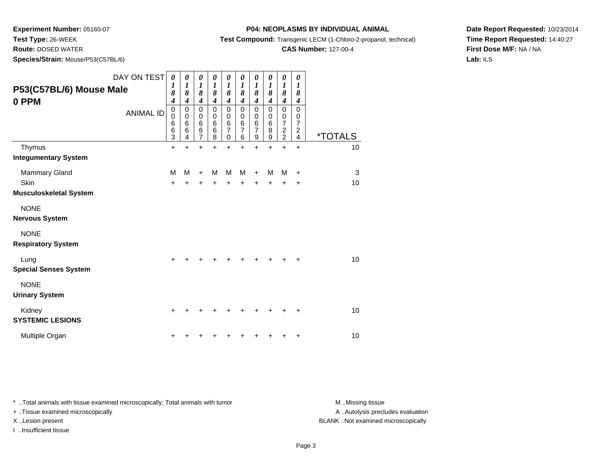**Test Type:** 26-WEEK

**Route:** DOSED WATER

**Species/Strain:** Mouse/P53(C57BL/6)

**Test Compound:** Transgenic LECM (1-Chloro-2-propanol, technical)

**CAS Number:** 127-00-4

**Date Report Requested:** 10/23/2014**Time Report Requested:** 14:40:27**First Dose M/F:** NA / NA**Lab:** ILS

| P53(C57BL/6) Mouse Male<br>0 PPM         | DAY ON TEST<br><b>ANIMAL ID</b> | $\boldsymbol{\theta}$<br>1<br>8<br>$\boldsymbol{4}$<br>$\pmb{0}$<br>$\mathbf 0$<br>6<br>6<br>3 | 0<br>1<br>8<br>$\boldsymbol{4}$<br>$\pmb{0}$<br>$\mathbf 0$<br>$\,6$<br>6<br>4 | $\boldsymbol{\theta}$<br>$\boldsymbol{l}$<br>8<br>4<br>$\pmb{0}$<br>$\pmb{0}$<br>$\,6$<br>$\,6$<br>$\overline{7}$ | 0<br>1<br>8<br>$\boldsymbol{4}$<br>$\pmb{0}$<br>$\mathbf 0$<br>$6\phantom{1}6$<br>6<br>8 | 0<br>$\boldsymbol{l}$<br>8<br>4<br>$\mathbf 0$<br>$\mathbf 0$<br>$\,6$<br>$\overline{7}$<br>0 | 0<br>$\boldsymbol{l}$<br>8<br>$\boldsymbol{4}$<br>$\pmb{0}$<br>0<br>$\,6$<br>$\overline{7}$<br>6 | $\boldsymbol{\theta}$<br>$\boldsymbol{l}$<br>8<br>4<br>$\mathbf 0$<br>$\pmb{0}$<br>$\,6$<br>$\overline{7}$<br>9 | 0<br>$\boldsymbol{l}$<br>8<br>$\overline{\boldsymbol{4}}$<br>$\pmb{0}$<br>0<br>$\,6$<br>8<br>$\boldsymbol{9}$ | 0<br>$\boldsymbol{l}$<br>8<br>4<br>$\mathbf 0$<br>$\begin{array}{c} 0 \\ 7 \end{array}$<br>$\frac{2}{2}$ | 0<br>1<br>8<br>4<br>$\mathbf 0$<br>0<br>$\boldsymbol{7}$<br>$\overline{\mathbf{c}}$<br>$\overline{\mathbf{4}}$ | <i><b>*TOTALS</b></i> |
|------------------------------------------|---------------------------------|------------------------------------------------------------------------------------------------|--------------------------------------------------------------------------------|-------------------------------------------------------------------------------------------------------------------|------------------------------------------------------------------------------------------|-----------------------------------------------------------------------------------------------|--------------------------------------------------------------------------------------------------|-----------------------------------------------------------------------------------------------------------------|---------------------------------------------------------------------------------------------------------------|----------------------------------------------------------------------------------------------------------|----------------------------------------------------------------------------------------------------------------|-----------------------|
| Thymus                                   |                                 | $\ddot{}$                                                                                      | $\div$                                                                         | +                                                                                                                 | $\div$                                                                                   | +                                                                                             | $\ddot{}$                                                                                        | $\ddot{}$                                                                                                       | $\ddot{}$                                                                                                     | $\ddot{}$                                                                                                | $\ddot{}$                                                                                                      | 10                    |
| <b>Integumentary System</b>              |                                 |                                                                                                |                                                                                |                                                                                                                   |                                                                                          |                                                                                               |                                                                                                  |                                                                                                                 |                                                                                                               |                                                                                                          |                                                                                                                |                       |
| Mammary Gland                            |                                 | M                                                                                              | M                                                                              | $\ddot{}$                                                                                                         | м                                                                                        | M                                                                                             | м                                                                                                | $\ddot{}$                                                                                                       | м                                                                                                             | м                                                                                                        | $\ddot{}$                                                                                                      | 3                     |
| Skin                                     |                                 | +                                                                                              |                                                                                |                                                                                                                   |                                                                                          |                                                                                               |                                                                                                  | +                                                                                                               | +                                                                                                             | +                                                                                                        | $\ddot{}$                                                                                                      | 10                    |
| Musculoskeletal System                   |                                 |                                                                                                |                                                                                |                                                                                                                   |                                                                                          |                                                                                               |                                                                                                  |                                                                                                                 |                                                                                                               |                                                                                                          |                                                                                                                |                       |
| <b>NONE</b>                              |                                 |                                                                                                |                                                                                |                                                                                                                   |                                                                                          |                                                                                               |                                                                                                  |                                                                                                                 |                                                                                                               |                                                                                                          |                                                                                                                |                       |
| Nervous System                           |                                 |                                                                                                |                                                                                |                                                                                                                   |                                                                                          |                                                                                               |                                                                                                  |                                                                                                                 |                                                                                                               |                                                                                                          |                                                                                                                |                       |
| <b>NONE</b><br><b>Respiratory System</b> |                                 |                                                                                                |                                                                                |                                                                                                                   |                                                                                          |                                                                                               |                                                                                                  |                                                                                                                 |                                                                                                               |                                                                                                          |                                                                                                                |                       |
| Lung<br><b>Special Senses System</b>     |                                 |                                                                                                |                                                                                |                                                                                                                   |                                                                                          |                                                                                               |                                                                                                  |                                                                                                                 |                                                                                                               |                                                                                                          | ٠                                                                                                              | 10                    |
| <b>NONE</b><br><b>Urinary System</b>     |                                 |                                                                                                |                                                                                |                                                                                                                   |                                                                                          |                                                                                               |                                                                                                  |                                                                                                                 |                                                                                                               |                                                                                                          |                                                                                                                |                       |
| Kidney<br><b>SYSTEMIC LESIONS</b>        |                                 | +                                                                                              |                                                                                |                                                                                                                   |                                                                                          |                                                                                               |                                                                                                  |                                                                                                                 |                                                                                                               |                                                                                                          | ٠                                                                                                              | 10                    |
| Multiple Organ                           |                                 |                                                                                                |                                                                                |                                                                                                                   |                                                                                          |                                                                                               |                                                                                                  |                                                                                                                 |                                                                                                               |                                                                                                          | +                                                                                                              | 10                    |

\* ..Total animals with tissue examined microscopically; Total animals with tumor **M** . Missing tissue M ..Missing tissue

+ ..Tissue examined microscopically

I ..Insufficient tissue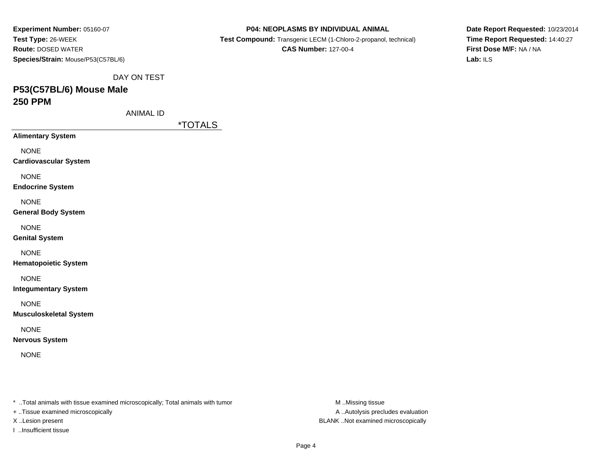| Experiment Number: 05160-07        |
|------------------------------------|
| <b>Test Type: 26-WEEK</b>          |
| <b>Route: DOSED WATER</b>          |
| Species/Strain: Mouse/P53(C57BL/6) |
|                                    |

 **Test Compound:** Transgenic LECM (1-Chloro-2-propanol, technical)**CAS Number:** 127-00-4

**Date Report Requested:** 10/23/2014**Time Report Requested:** 14:40:27**First Dose M/F:** NA / NA**Lab:** ILS

DAY ON TEST

### **P53(C57BL/6) Mouse Male250 PPM**

ANIMAL ID

\*TOTALS

**Alimentary System**

NONE

**Cardiovascular System**

NONE

**Endocrine System**

NONE

**General Body System**

NONE

**Genital System**

NONE

**Hematopoietic System**

NONE

**Integumentary System**

NONE

**Musculoskeletal System**

NONE

**Nervous System**

NONE

\* ..Total animals with tissue examined microscopically; Total animals with tumor **M** ..Missing tissue M ..Missing tissue

+ ..Tissue examined microscopically

I ..Insufficient tissue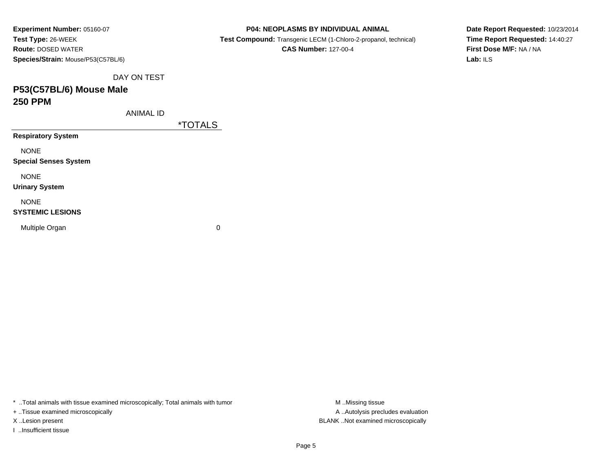| Experiment Number: 05160-07        |             |                       |                |
|------------------------------------|-------------|-----------------------|----------------|
| Test Type: 26-WEEK                 |             |                       | <b>Test Co</b> |
| <b>Route: DOSED WATER</b>          |             |                       |                |
| Species/Strain: Mouse/P53(C57BL/6) |             |                       |                |
|                                    | DAY ON TEST |                       |                |
| P53(C57BL/6) Mouse Male            |             |                       |                |
| <b>250 PPM</b>                     |             |                       |                |
|                                    | ANIMAL ID   |                       |                |
|                                    |             | <i><b>*TOTALS</b></i> |                |
| <b>Respiratory System</b>          |             |                       |                |
| <b>NONE</b>                        |             |                       |                |
| <b>Special Senses System</b>       |             |                       |                |
| <b>NONE</b>                        |             |                       |                |
| <b>Urinary System</b>              |             |                       |                |
| <b>NONE</b>                        |             |                       |                |

 $\mathbf n$  0

\* ..Total animals with tissue examined microscopically; Total animals with tumor **M** . Missing tissue M ..Missing tissue

+ ..Tissue examined microscopically

X ..Lesion present BLANK ..Not examined microscopically

**SYSTEMIC LESIONS**

Multiple Organ

I ..Insufficient tissue

**P04: NEOPLASMS BY INDIVIDUAL ANIMAL**

**Test Compound:** Transgenic LECM (1-Chloro-2-propanol, technical)

**CAS Number:** 127-00-4

**Date Report Requested:** 10/23/2014**Time Report Requested:** 14:40:27**First Dose M/F:** NA / NA**Lab:** ILS

Page 5

A ..Autolysis precludes evaluation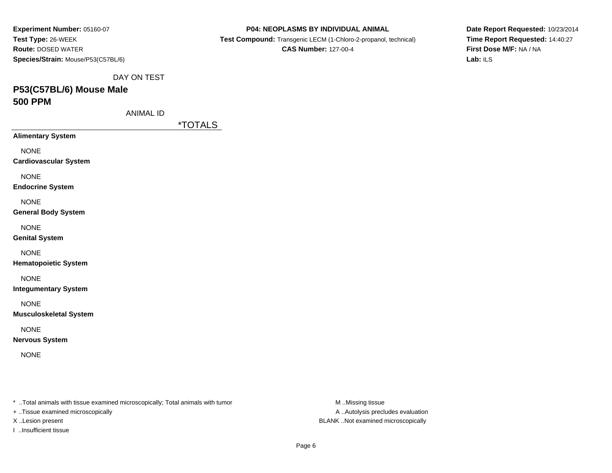| Experiment Number: 05160-07<br>Test Type: 26-WEEK<br><b>Route: DOSED WATER</b><br>Species/Strain: Mouse/P53(C57BL/6) | P04: NEOPLASMS BY INDIVIDUAL ANIMAL<br>Test Compound: Transgenic LECM (1-Chloro-2-propanol, technical)<br><b>CAS Number: 127-00-4</b> |
|----------------------------------------------------------------------------------------------------------------------|---------------------------------------------------------------------------------------------------------------------------------------|
| DAY ON TEST<br>P53(C57BL/6) Mouse Male<br><b>500 PPM</b>                                                             |                                                                                                                                       |
| <b>ANIMAL ID</b>                                                                                                     |                                                                                                                                       |
| <b>Alimentary System</b>                                                                                             | <i><b>*TOTALS</b></i>                                                                                                                 |
| <b>NONE</b><br><b>Cardiovascular System</b>                                                                          |                                                                                                                                       |
| <b>NONE</b><br><b>Endocrine System</b>                                                                               |                                                                                                                                       |
| <b>NONE</b><br><b>General Body System</b>                                                                            |                                                                                                                                       |
| <b>NONE</b><br><b>Genital System</b>                                                                                 |                                                                                                                                       |
| <b>NONE</b><br><b>Hematopoietic System</b>                                                                           |                                                                                                                                       |
| <b>NONE</b><br><b>Integumentary System</b>                                                                           |                                                                                                                                       |
| <b>NONE</b><br><b>Musculoskeletal System</b>                                                                         |                                                                                                                                       |
| <b>NONE</b><br><b>Nervous System</b>                                                                                 |                                                                                                                                       |
| <b>NONE</b>                                                                                                          |                                                                                                                                       |
|                                                                                                                      |                                                                                                                                       |
| * Total animals with tissue examined microscopically; Total animals with tumor                                       | M.Missing tissue                                                                                                                      |

+ ..Tissue examined microscopically

I ..Insufficient tissue

A ..Autolysis precludes evaluation X ..Lesion present BLANK ..Not examined microscopically

**Date Report Requested:** 10/23/2014**Time Report Requested:** 14:40:27**First Dose M/F:** NA / NA**Lab:** ILS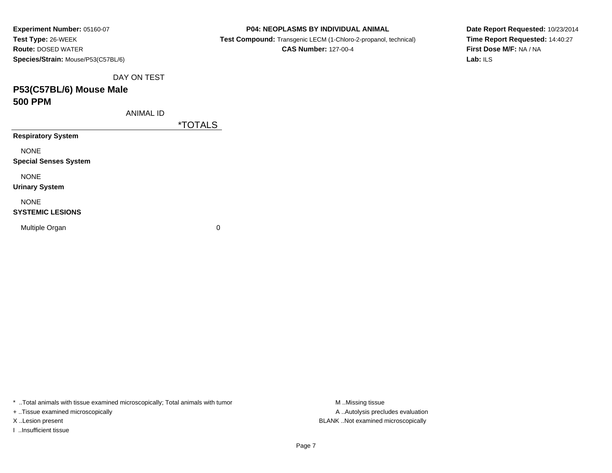| Experiment Number: 05160-07        | <b>P04: NEOPLASMS BY INDIVIDUAL ANIMAL</b>                      |  |
|------------------------------------|-----------------------------------------------------------------|--|
| Test Type: 26-WEEK                 | Test Compound: Transgenic LECM (1-Chloro-2-propanol, technical) |  |
| <b>Route: DOSED WATER</b>          | <b>CAS Number: 127-00-4</b>                                     |  |
| Species/Strain: Mouse/P53(C57BL/6) |                                                                 |  |
| DAY ON TEST                        |                                                                 |  |
| P53(C57BL/6) Mouse Male            |                                                                 |  |
| <b>500 PPM</b>                     |                                                                 |  |
| <b>ANIMAL ID</b>                   |                                                                 |  |
|                                    | <i><b>*TOTALS</b></i>                                           |  |
| <b>Respiratory System</b>          |                                                                 |  |
| <b>NONE</b>                        |                                                                 |  |
| <b>Special Senses System</b>       |                                                                 |  |
| <b>NONE</b>                        |                                                                 |  |
| <b>Urinary System</b>              |                                                                 |  |
| <b>NONE</b>                        |                                                                 |  |
| <b>SYSTEMIC LESIONS</b>            |                                                                 |  |
| Multiple Organ                     | 0                                                               |  |
|                                    |                                                                 |  |
|                                    |                                                                 |  |

\* ..Total animals with tissue examined microscopically; Total animals with tumor **M** ..Missing tissue M ..Missing tissue

+ ..Tissue examined microscopically

I ..Insufficient tissue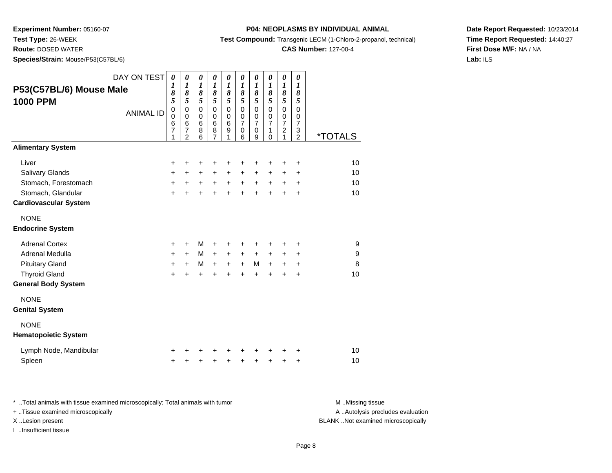**Test Type:** 26-WEEK

**Route:** DOSED WATER

**Species/Strain:** Mouse/P53(C57BL/6)

#### **P04: NEOPLASMS BY INDIVIDUAL ANIMAL**

**Test Compound:** Transgenic LECM (1-Chloro-2-propanol, technical)

### **CAS Number:** 127-00-4

**Date Report Requested:** 10/23/2014**Time Report Requested:** 14:40:27**First Dose M/F:** NA / NA**Lab:** ILS

| P53(C57BL/6) Mouse Male<br><b>1000 PPM</b>                                                                               | DAY ON TEST<br><b>ANIMAL ID</b> | $\boldsymbol{\theta}$<br>1<br>8<br>5<br>$\mathbf 0$<br>$\mathbf 0$<br>6<br>$\overline{7}$<br>1 | $\boldsymbol{\theta}$<br>1<br>8<br>5<br>$\mathbf 0$<br>0<br>6<br>7<br>$\overline{2}$ | $\boldsymbol{\theta}$<br>$\boldsymbol{l}$<br>8<br>5<br>$\mathbf 0$<br>$\mathbf 0$<br>6<br>8<br>6 | $\boldsymbol{\theta}$<br>$\boldsymbol{l}$<br>8<br>5<br>$\mathbf 0$<br>0<br>$6\phantom{1}6$<br>8<br>7 | 0<br>$\boldsymbol{l}$<br>8<br>$\sqrt{5}$<br>$\pmb{0}$<br>$\mathbf 0$<br>6<br>$\boldsymbol{9}$<br>1 | 0<br>$\boldsymbol{l}$<br>$\boldsymbol{\delta}$<br>$\sqrt{5}$<br>$\mathbf 0$<br>$\mathbf 0$<br>$\overline{7}$<br>0<br>6 | $\pmb{\theta}$<br>1<br>8<br>5<br>$\mathbf 0$<br>$\mathbf 0$<br>$\overline{7}$<br>0<br>9 | 0<br>1<br>8<br>5<br>$\mathbf 0$<br>0<br>$\overline{7}$<br>1<br>$\Omega$ | $\pmb{\theta}$<br>$\boldsymbol{l}$<br>8<br>$\sqrt{5}$<br>$\pmb{0}$<br>$\mathbf 0$<br>$\overline{7}$<br>$\overline{\mathbf{c}}$<br>1 | $\boldsymbol{\theta}$<br>$\boldsymbol{l}$<br>8<br>5<br>$\mathbf 0$<br>0<br>$\overline{7}$<br>3<br>$\overline{2}$ | <i><b>*TOTALS</b></i> |
|--------------------------------------------------------------------------------------------------------------------------|---------------------------------|------------------------------------------------------------------------------------------------|--------------------------------------------------------------------------------------|--------------------------------------------------------------------------------------------------|------------------------------------------------------------------------------------------------------|----------------------------------------------------------------------------------------------------|------------------------------------------------------------------------------------------------------------------------|-----------------------------------------------------------------------------------------|-------------------------------------------------------------------------|-------------------------------------------------------------------------------------------------------------------------------------|------------------------------------------------------------------------------------------------------------------|-----------------------|
| <b>Alimentary System</b>                                                                                                 |                                 |                                                                                                |                                                                                      |                                                                                                  |                                                                                                      |                                                                                                    |                                                                                                                        |                                                                                         |                                                                         |                                                                                                                                     |                                                                                                                  |                       |
| Liver<br>Salivary Glands<br>Stomach, Forestomach<br>Stomach, Glandular<br><b>Cardiovascular System</b>                   |                                 | +<br>$\ddot{}$<br>$\ddot{}$<br>$\ddot{}$                                                       | +<br>$+$<br>$+$                                                                      | +<br>$+$<br>$+$<br>$\ddot{}$                                                                     | +<br>$+$                                                                                             | +<br>$+$                                                                                           | +<br>$\ddot{}$<br>$+$ $+$ $+$ $+$                                                                                      | +<br>+<br>$\ddot{}$                                                                     | +<br>$\ddot{}$<br>$+$                                                   | +<br>+<br>$\ddot{}$<br>$\ddot{}$                                                                                                    | +<br>+<br>$\ddot{}$<br>$\ddot{}$                                                                                 | 10<br>10<br>10<br>10  |
| <b>NONE</b><br><b>Endocrine System</b>                                                                                   |                                 |                                                                                                |                                                                                      |                                                                                                  |                                                                                                      |                                                                                                    |                                                                                                                        |                                                                                         |                                                                         |                                                                                                                                     |                                                                                                                  |                       |
| <b>Adrenal Cortex</b><br>Adrenal Medulla<br><b>Pituitary Gland</b><br><b>Thyroid Gland</b><br><b>General Body System</b> |                                 | +<br>+<br>+<br>$+$                                                                             | $\ddot{}$<br>$+$<br>$\ddot{}$<br>$\ddot{}$                                           | М<br>M<br>M<br>$\ddot{}$                                                                         | +<br>$\ddot{}$<br>$\ddot{}$<br>$\ddot{}$                                                             | +<br>$\ddot{}$<br>$+$<br>$\ddot{}$                                                                 | $+$<br>$+$<br>$\ddot{}$                                                                                                | +<br>$+$<br>M<br>$\ddot{}$                                                              | $\ddot{}$<br>$\ddot{}$<br>$\ddot{}$                                     | +<br>+<br>$\ddot{}$<br>$\ddot{}$                                                                                                    | +<br>$\ddot{}$<br>$\ddot{}$<br>$\ddot{}$                                                                         | 9<br>$9\,$<br>8<br>10 |
| <b>NONE</b><br><b>Genital System</b><br><b>NONE</b>                                                                      |                                 |                                                                                                |                                                                                      |                                                                                                  |                                                                                                      |                                                                                                    |                                                                                                                        |                                                                                         |                                                                         |                                                                                                                                     |                                                                                                                  |                       |
| <b>Hematopoietic System</b>                                                                                              |                                 |                                                                                                |                                                                                      |                                                                                                  |                                                                                                      |                                                                                                    |                                                                                                                        |                                                                                         |                                                                         |                                                                                                                                     |                                                                                                                  |                       |
| Lymph Node, Mandibular<br>Spleen                                                                                         |                                 | +<br>+                                                                                         | +                                                                                    | +                                                                                                | $\ddot{}$                                                                                            | $\ddot{}$                                                                                          | $\ddot{}$                                                                                                              | +                                                                                       | +                                                                       | ٠<br>+                                                                                                                              | +<br>+                                                                                                           | 10<br>10              |

| Total animals with tissue examined microscopically; Total animals with tumor | M Missing tissue                   |
|------------------------------------------------------------------------------|------------------------------------|
| + Tissue examined microscopically                                            | A Autolysis precludes evaluation   |
| X Lesion present                                                             | BLANK Not examined microscopically |
| …Insufficient tissue                                                         |                                    |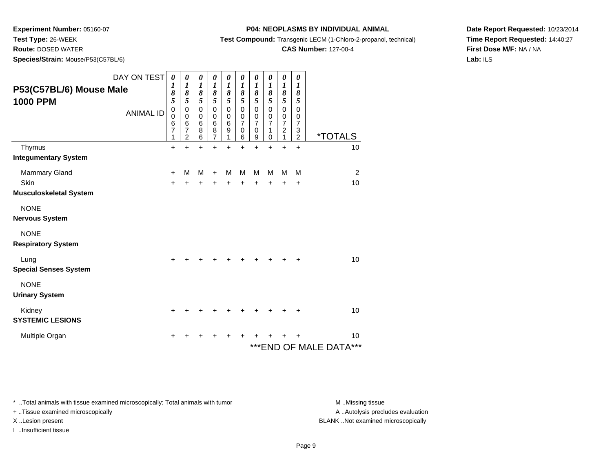**Test Type:** 26-WEEK

**Route:** DOSED WATER

**Species/Strain:** Mouse/P53(C57BL/6)

**Test Compound:** Transgenic LECM (1-Chloro-2-propanol, technical)

**CAS Number:** 127-00-4

**Date Report Requested:** 10/23/2014**Time Report Requested:** 14:40:27**First Dose M/F:** NA / NA**Lab:** ILS

|                                            | DAY ON TEST      | $\boldsymbol{\theta}$                   | 0                                     | $\pmb{\theta}$                            | 0                                                          | 0                                             | 0                                                  | 0                                                                | 0                                          | 0                                                                 | 0                                                         |                            |
|--------------------------------------------|------------------|-----------------------------------------|---------------------------------------|-------------------------------------------|------------------------------------------------------------|-----------------------------------------------|----------------------------------------------------|------------------------------------------------------------------|--------------------------------------------|-------------------------------------------------------------------|-----------------------------------------------------------|----------------------------|
| P53(C57BL/6) Mouse Male<br><b>1000 PPM</b> |                  | 1<br>8<br>5                             | 1<br>8<br>5                           | $\boldsymbol{l}$<br>8<br>$\overline{5}$   | $\boldsymbol{l}$<br>8<br>5                                 | 1<br>8<br>5                                   | 1<br>8<br>$\sqrt{5}$                               | $\boldsymbol{l}$<br>8<br>5                                       | $\boldsymbol{l}$<br>8<br>5                 | $\boldsymbol{l}$<br>8<br>5                                        | $\boldsymbol{l}$<br>8<br>5                                |                            |
|                                            | <b>ANIMAL ID</b> | $\pmb{0}$<br>$\mathbf 0$<br>6<br>7<br>1 | $\pmb{0}$<br>$\pmb{0}$<br>6<br>7<br>2 | $\pmb{0}$<br>$\pmb{0}$<br>$\,6$<br>8<br>6 | $\mathbf 0$<br>0<br>$6\phantom{1}6$<br>8<br>$\overline{7}$ | $\mathbf 0$<br>$\mathbf 0$<br>$\,6$<br>9<br>1 | $\pmb{0}$<br>$\pmb{0}$<br>$\overline{7}$<br>0<br>6 | $\mathbf 0$<br>$\mathbf 0$<br>$\overline{7}$<br>$\mathbf 0$<br>9 | $\pmb{0}$<br>0<br>$\overline{7}$<br>1<br>0 | $\mathbf 0$<br>$\pmb{0}$<br>$\overline{7}$<br>$\overline{c}$<br>1 | $\mathbf 0$<br>0<br>$\overline{7}$<br>3<br>$\overline{2}$ | <i><b>*TOTALS</b></i>      |
| Thymus                                     |                  | $\ddot{}$                               | ÷                                     | $\ddot{}$                                 | ÷                                                          | $\ddot{}$                                     | $\ddot{}$                                          | $\ddot{}$                                                        | $\ddot{}$                                  | $\ddot{}$                                                         | $\ddot{}$                                                 | 10                         |
| <b>Integumentary System</b>                |                  |                                         |                                       |                                           |                                                            |                                               |                                                    |                                                                  |                                            |                                                                   |                                                           |                            |
| Mammary Gland                              |                  | +                                       | М                                     | M                                         | $\ddot{}$                                                  | M                                             | M                                                  | M                                                                | M                                          | M                                                                 | M                                                         | 2                          |
| <b>Skin</b>                                |                  | +                                       | +                                     | +                                         | ٠                                                          | $\ddot{}$                                     | $\div$                                             | $\ddot{}$                                                        | $\ddot{}$                                  | $\ddot{}$                                                         | $\ddot{}$                                                 | 10                         |
| <b>Musculoskeletal System</b>              |                  |                                         |                                       |                                           |                                                            |                                               |                                                    |                                                                  |                                            |                                                                   |                                                           |                            |
| <b>NONE</b>                                |                  |                                         |                                       |                                           |                                                            |                                               |                                                    |                                                                  |                                            |                                                                   |                                                           |                            |
| <b>Nervous System</b>                      |                  |                                         |                                       |                                           |                                                            |                                               |                                                    |                                                                  |                                            |                                                                   |                                                           |                            |
| <b>NONE</b>                                |                  |                                         |                                       |                                           |                                                            |                                               |                                                    |                                                                  |                                            |                                                                   |                                                           |                            |
| <b>Respiratory System</b>                  |                  |                                         |                                       |                                           |                                                            |                                               |                                                    |                                                                  |                                            |                                                                   |                                                           |                            |
| Lung                                       |                  | +                                       |                                       |                                           |                                                            |                                               |                                                    |                                                                  |                                            |                                                                   | +                                                         | 10                         |
| <b>Special Senses System</b>               |                  |                                         |                                       |                                           |                                                            |                                               |                                                    |                                                                  |                                            |                                                                   |                                                           |                            |
| <b>NONE</b><br><b>Urinary System</b>       |                  |                                         |                                       |                                           |                                                            |                                               |                                                    |                                                                  |                                            |                                                                   |                                                           |                            |
| Kidney                                     |                  | +                                       |                                       |                                           |                                                            |                                               |                                                    |                                                                  |                                            |                                                                   | +                                                         | 10                         |
| <b>SYSTEMIC LESIONS</b>                    |                  |                                         |                                       |                                           |                                                            |                                               |                                                    |                                                                  |                                            |                                                                   |                                                           |                            |
| Multiple Organ                             |                  |                                         |                                       |                                           |                                                            |                                               |                                                    |                                                                  |                                            |                                                                   |                                                           | 10                         |
|                                            |                  |                                         |                                       |                                           |                                                            |                                               |                                                    |                                                                  |                                            |                                                                   |                                                           | ***<br>***END OF MALE DATA |

\* ..Total animals with tissue examined microscopically; Total animals with tumor **M** . Missing tissue M ..Missing tissue

+ ..Tissue examined microscopically

I ..Insufficient tissue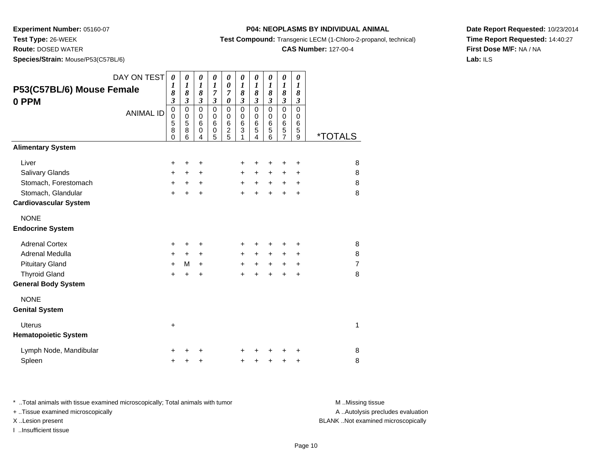**Test Type:** 26-WEEK

**Route:** DOSED WATER

**Species/Strain:** Mouse/P53(C57BL/6)

#### **P04: NEOPLASMS BY INDIVIDUAL ANIMAL**

**Test Compound:** Transgenic LECM (1-Chloro-2-propanol, technical)

### **CAS Number:** 127-00-4

**Date Report Requested:** 10/23/2014**Time Report Requested:** 14:40:27**First Dose M/F:** NA / NA**Lab:** ILS

| P53(C57BL/6) Mouse Female<br>0 PPM                                                                     | DAY ON TEST<br><b>ANIMAL ID</b> | $\boldsymbol{\theta}$<br>$\boldsymbol{l}$<br>8<br>$\mathfrak{z}$<br>$\mathbf 0$<br>$\pmb{0}$<br>5<br>8<br>$\Omega$ | 0<br>$\boldsymbol{l}$<br>$\pmb{8}$<br>$\mathfrak{z}$<br>$\pmb{0}$<br>$\pmb{0}$<br>$\sqrt{5}$<br>8<br>6 | 0<br>1<br>8<br>$\mathfrak{z}$<br>$\mathbf 0$<br>$\mathbf 0$<br>6<br>0<br>4 | 0<br>$\boldsymbol{l}$<br>7<br>$\mathfrak{z}$<br>$\mathbf 0$<br>$\mathbf 0$<br>6<br>0<br>5 | 0<br>$\boldsymbol{\theta}$<br>7<br>0<br>$\pmb{0}$<br>$\pmb{0}$<br>$\,6$<br>$\overline{2}$<br>5 | 0<br>1<br>8<br>$\mathfrak{z}$<br>$\mathbf 0$<br>0<br>$\,6$<br>3<br>1 | 0<br>1<br>8<br>$\overline{\mathbf{3}}$<br>$\mathbf 0$<br>0<br>6<br>5<br>$\overline{4}$ | 0<br>1<br>8<br>$\mathfrak{z}$<br>$\Omega$<br>$\mathbf 0$<br>6<br>5<br>6 | 0<br>$\boldsymbol{l}$<br>8<br>$\mathfrak{z}$<br>$\mathbf 0$<br>$\pmb{0}$<br>6<br>5<br>7 | 0<br>$\boldsymbol{l}$<br>8<br>$\mathfrak{z}$<br>$\mathbf 0$<br>$\pmb{0}$<br>6<br>5<br>9 | <u><i><b>*TOTALS</b></i></u>  |
|--------------------------------------------------------------------------------------------------------|---------------------------------|--------------------------------------------------------------------------------------------------------------------|--------------------------------------------------------------------------------------------------------|----------------------------------------------------------------------------|-------------------------------------------------------------------------------------------|------------------------------------------------------------------------------------------------|----------------------------------------------------------------------|----------------------------------------------------------------------------------------|-------------------------------------------------------------------------|-----------------------------------------------------------------------------------------|-----------------------------------------------------------------------------------------|-------------------------------|
| <b>Alimentary System</b>                                                                               |                                 |                                                                                                                    |                                                                                                        |                                                                            |                                                                                           |                                                                                                |                                                                      |                                                                                        |                                                                         |                                                                                         |                                                                                         |                               |
| Liver<br>Salivary Glands<br>Stomach, Forestomach<br>Stomach, Glandular<br><b>Cardiovascular System</b> |                                 | +<br>+<br>$\ddot{}$<br>$+$                                                                                         | +<br>$\ddot{}$<br>$\ddot{}$<br>$\ddot{}$                                                               | +<br>+<br>+<br>+                                                           |                                                                                           |                                                                                                | $\pm$<br>$\ddot{}$<br>$+$<br>$\ddot{}$                               | +<br>$\ddot{}$<br>$+$<br>$+$                                                           | +<br>+<br>$+$<br>$\ddot{}$                                              | ٠<br>$\ddot{}$<br>$\ddot{}$<br>$\ddot{}$                                                | ÷<br>$\ddot{}$<br>$\ddot{}$<br>$\ddot{}$                                                | 8<br>8<br>8<br>8              |
| <b>NONE</b><br><b>Endocrine System</b>                                                                 |                                 |                                                                                                                    |                                                                                                        |                                                                            |                                                                                           |                                                                                                |                                                                      |                                                                                        |                                                                         |                                                                                         |                                                                                         |                               |
| <b>Adrenal Cortex</b><br>Adrenal Medulla<br><b>Pituitary Gland</b><br><b>Thyroid Gland</b>             |                                 | +<br>+<br>$\ddot{}$<br>$+$                                                                                         | +<br>$\ddot{}$<br>М<br>$\ddot{}$                                                                       | +<br>+<br>$\ddot{}$<br>$\ddot{}$                                           |                                                                                           |                                                                                                | +<br>$\ddot{}$<br>$\ddot{}$<br>$\ddot{}$                             | +<br>$\ddot{}$<br>$+$<br>$\ddot{}$                                                     | ٠<br>$\ddot{}$<br>$+$<br>$\ddot{}$                                      | +<br>+<br>$\ddot{}$<br>+                                                                | +<br>+<br>$\ddot{}$<br>$\div$                                                           | 8<br>8<br>$\overline{7}$<br>8 |
| <b>General Body System</b><br><b>NONE</b><br><b>Genital System</b>                                     |                                 |                                                                                                                    |                                                                                                        |                                                                            |                                                                                           |                                                                                                |                                                                      |                                                                                        |                                                                         |                                                                                         |                                                                                         |                               |
| <b>Uterus</b><br><b>Hematopoietic System</b>                                                           |                                 | $\ddot{}$                                                                                                          |                                                                                                        |                                                                            |                                                                                           |                                                                                                |                                                                      |                                                                                        |                                                                         |                                                                                         |                                                                                         | 1                             |
| Lymph Node, Mandibular<br>Spleen                                                                       |                                 | +                                                                                                                  |                                                                                                        | +<br>+                                                                     |                                                                                           |                                                                                                | +                                                                    | +                                                                                      | +                                                                       | +                                                                                       | +<br>+                                                                                  | 8<br>8                        |

\* ..Total animals with tissue examined microscopically; Total animals with tumor **M** . Missing tissue M ..Missing tissue A ..Autolysis precludes evaluation + ..Tissue examined microscopically X ..Lesion present BLANK ..Not examined microscopicallyI ..Insufficient tissue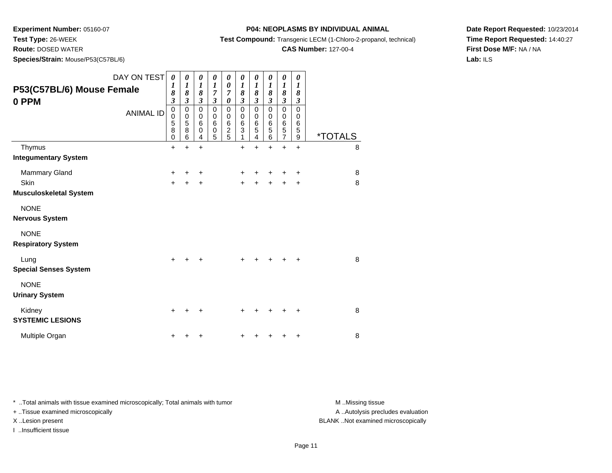**Test Type:** 26-WEEK

**Route:** DOSED WATER

**Species/Strain:** Mouse/P53(C57BL/6)

**P04: NEOPLASMS BY INDIVIDUAL ANIMAL**

**Test Compound:** Transgenic LECM (1-Chloro-2-propanol, technical)

**CAS Number:** 127-00-4

**Date Report Requested:** 10/23/2014**Time Report Requested:** 14:40:27**First Dose M/F:** NA / NA**Lab:** ILS

| DAY ON TEST<br>P53(C57BL/6) Mouse Female<br>0 PPM<br><b>ANIMAL ID</b> | 0<br>1<br>8<br>$\boldsymbol{\beta}$<br>$\pmb{0}$<br>0<br>5<br>8<br>0 | 0<br>$\boldsymbol{l}$<br>8<br>$\mathfrak{z}$<br>$\pmb{0}$<br>$\pmb{0}$<br>$\sqrt{5}$<br>8<br>6 | $\boldsymbol{\theta}$<br>$\boldsymbol{l}$<br>$\pmb{8}$<br>$\mathfrak{z}$<br>$\mathbf 0$<br>0<br>$6\phantom{1}6$<br>$\mathbf 0$<br>4 | 0<br>$\boldsymbol{l}$<br>$\overline{7}$<br>$\boldsymbol{\beta}$<br>$\pmb{0}$<br>0<br>$6\phantom{1}6$<br>$\mathbf 0$<br>5 | 0<br>$\boldsymbol{\theta}$<br>$\overline{7}$<br>0<br>0<br>$\boldsymbol{0}$<br>$\begin{array}{c} 6 \\ 2 \\ 5 \end{array}$ | 0<br>$\boldsymbol{l}$<br>8<br>$\boldsymbol{\beta}$<br>$\boldsymbol{0}$<br>$\begin{array}{c} 0 \\ 6 \\ 3 \end{array}$<br>1 | 0<br>$\boldsymbol{l}$<br>8<br>$\mathfrak{z}$<br>0<br>0<br>6<br>5 | $\pmb{\theta}$<br>$\boldsymbol{l}$<br>8<br>$\boldsymbol{\mathfrak{z}}$<br>0<br>0<br>6<br>5<br>6 | $\boldsymbol{\theta}$<br>$\boldsymbol{l}$<br>8<br>$\mathfrak{z}$<br>0<br>0<br>6<br>5<br>7 | 0<br>$\boldsymbol{l}$<br>8<br>$\boldsymbol{\beta}$<br>$\mathbf 0$<br>0<br>$\begin{array}{c} 6 \\ 5 \end{array}$<br>$\overline{9}$ | <i><b>*TOTALS</b></i> |
|-----------------------------------------------------------------------|----------------------------------------------------------------------|------------------------------------------------------------------------------------------------|-------------------------------------------------------------------------------------------------------------------------------------|--------------------------------------------------------------------------------------------------------------------------|--------------------------------------------------------------------------------------------------------------------------|---------------------------------------------------------------------------------------------------------------------------|------------------------------------------------------------------|-------------------------------------------------------------------------------------------------|-------------------------------------------------------------------------------------------|-----------------------------------------------------------------------------------------------------------------------------------|-----------------------|
| Thymus                                                                | $\ddot{}$                                                            | $\ddot{}$                                                                                      | $\ddot{}$                                                                                                                           |                                                                                                                          |                                                                                                                          | $\ddot{}$                                                                                                                 | 4<br>$\ddot{}$                                                   | $\ddot{}$                                                                                       | $\ddot{}$                                                                                 | $\ddot{}$                                                                                                                         | 8                     |
| <b>Integumentary System</b>                                           |                                                                      |                                                                                                |                                                                                                                                     |                                                                                                                          |                                                                                                                          |                                                                                                                           |                                                                  |                                                                                                 |                                                                                           |                                                                                                                                   |                       |
| Mammary Gland<br><b>Skin</b><br><b>Musculoskeletal System</b>         | ٠<br>$+$                                                             |                                                                                                | +<br>+                                                                                                                              |                                                                                                                          |                                                                                                                          | +<br>$\ddot{}$                                                                                                            |                                                                  | +                                                                                               |                                                                                           | +<br>٠                                                                                                                            | 8<br>8                |
| <b>NONE</b><br><b>Nervous System</b>                                  |                                                                      |                                                                                                |                                                                                                                                     |                                                                                                                          |                                                                                                                          |                                                                                                                           |                                                                  |                                                                                                 |                                                                                           |                                                                                                                                   |                       |
| <b>NONE</b><br><b>Respiratory System</b>                              |                                                                      |                                                                                                |                                                                                                                                     |                                                                                                                          |                                                                                                                          |                                                                                                                           |                                                                  |                                                                                                 |                                                                                           |                                                                                                                                   |                       |
| Lung<br><b>Special Senses System</b>                                  | $\pm$                                                                | $\div$                                                                                         | ٠                                                                                                                                   |                                                                                                                          |                                                                                                                          | $\ddot{}$                                                                                                                 | +                                                                | $+$                                                                                             | $\ddot{}$                                                                                 |                                                                                                                                   | 8                     |
| <b>NONE</b><br><b>Urinary System</b>                                  |                                                                      |                                                                                                |                                                                                                                                     |                                                                                                                          |                                                                                                                          |                                                                                                                           |                                                                  |                                                                                                 |                                                                                           |                                                                                                                                   |                       |
| Kidney<br><b>SYSTEMIC LESIONS</b>                                     | $\ddot{}$                                                            |                                                                                                | +                                                                                                                                   |                                                                                                                          |                                                                                                                          | ٠                                                                                                                         |                                                                  |                                                                                                 |                                                                                           |                                                                                                                                   | 8                     |
| Multiple Organ                                                        |                                                                      |                                                                                                | +                                                                                                                                   |                                                                                                                          |                                                                                                                          | +                                                                                                                         |                                                                  |                                                                                                 |                                                                                           |                                                                                                                                   | 8                     |

\* ..Total animals with tissue examined microscopically; Total animals with tumor **M** . Missing tissue M ..Missing tissue

+ ..Tissue examined microscopically

I ..Insufficient tissue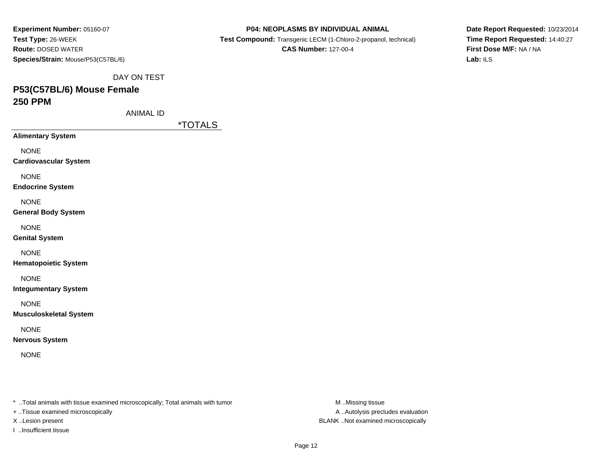| Experiment Number: 05160-07        |
|------------------------------------|
| <b>Test Type: 26-WEEK</b>          |
| <b>Route: DOSED WATER</b>          |
| Species/Strain: Mouse/P53(C57BL/6) |

 **Test Compound:** Transgenic LECM (1-Chloro-2-propanol, technical)**CAS Number:** 127-00-4

**Date Report Requested:** 10/23/2014**Time Report Requested:** 14:40:27**First Dose M/F:** NA / NA**Lab:** ILS

DAY ON TEST

# **P53(C57BL/6) Mouse Female250 PPM**

ANIMAL ID

\*TOTALS

**Alimentary System**

NONE

**Cardiovascular System**

NONE

**Endocrine System**

NONE

**General Body System**

NONE

**Genital System**

NONE

**Hematopoietic System**

NONE

**Integumentary System**

NONE

**Musculoskeletal System**

NONE

**Nervous System**

NONE

\* ..Total animals with tissue examined microscopically; Total animals with tumor **M** ..Missing tissue M ..Missing tissue

+ ..Tissue examined microscopically

I ..Insufficient tissue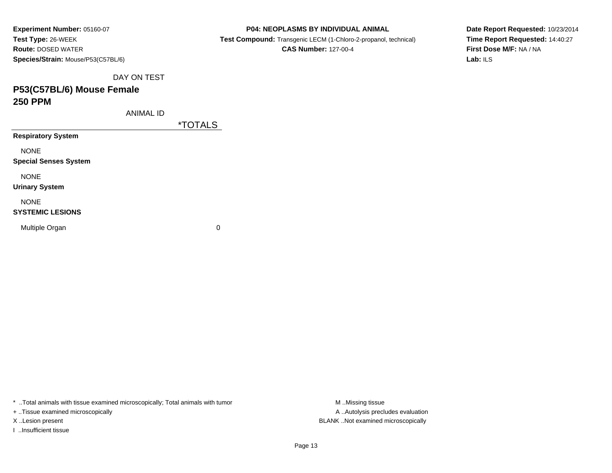| Experiment Number: 05160-07        |
|------------------------------------|
| Test Type: 26-WEEK                 |
| <b>Route: DOSED WATER</b>          |
| Species/Strain: Mouse/P53(C57BL/6) |

**Test Compound:** Transgenic LECM (1-Chloro-2-propanol, technical)

**CAS Number:** 127-00-4

**Date Report Requested:** 10/23/2014**Time Report Requested:** 14:40:27**First Dose M/F:** NA / NA**Lab:** ILS

DAY ON TEST

# **P53(C57BL/6) Mouse Female250 PPM**

ANIMAL ID

\*TOTALS

**Respiratory System**

NONE

**Special Senses System**

NONE

**Urinary System**

NONE

#### **SYSTEMIC LESIONS**

Multiple Organ

 $\mathbf n$  0

\* ..Total animals with tissue examined microscopically; Total animals with tumor **M** ...Missing tissue M ...Missing tissue

+ ..Tissue examined microscopically

I ..Insufficient tissue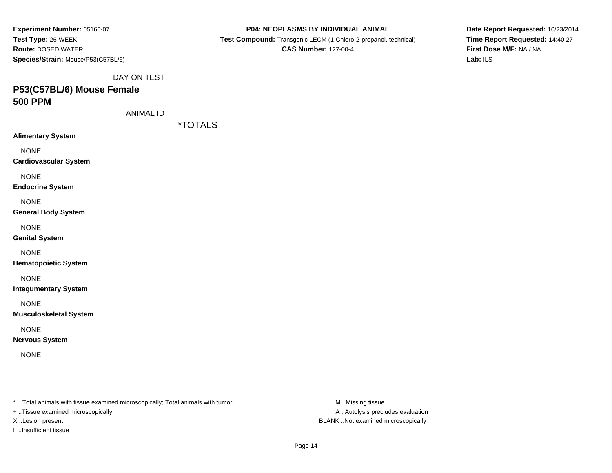| Experiment Number: 05160-07        |
|------------------------------------|
| Test Type: 26-WEEK                 |
| <b>Route: DOSED WATER</b>          |
| Species/Strain: Mouse/P53(C57BL/6) |

 **Test Compound:** Transgenic LECM (1-Chloro-2-propanol, technical)**CAS Number:** 127-00-4

**Date Report Requested:** 10/23/2014**Time Report Requested:** 14:40:27**First Dose M/F:** NA / NA**Lab:** ILS

DAY ON TEST

# **P53(C57BL/6) Mouse Female500 PPM**

ANIMAL ID

\*TOTALS

**Alimentary System**

NONE

**Cardiovascular System**

NONE

**Endocrine System**

NONE

**General Body System**

NONE

**Genital System**

NONE

**Hematopoietic System**

NONE

**Integumentary System**

NONE

**Musculoskeletal System**

NONE

**Nervous System**

NONE

\* ..Total animals with tissue examined microscopically; Total animals with tumor **M** ..Missing tissue M ..Missing tissue

+ ..Tissue examined microscopically

I ..Insufficient tissue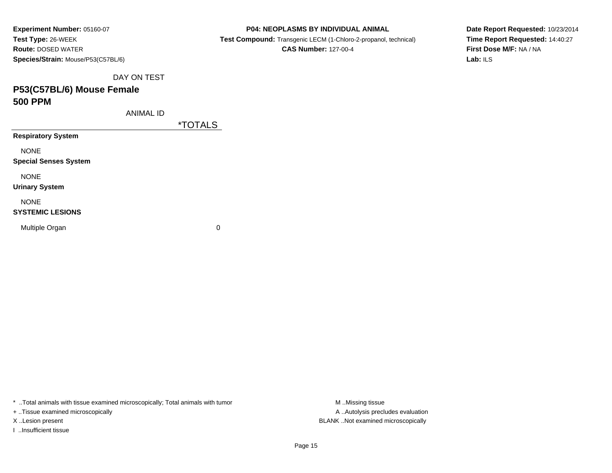| Experiment Number: 05160-07               |
|-------------------------------------------|
| Test Type: 26-WEEK                        |
| <b>Route: DOSED WATER</b>                 |
| <b>Species/Strain: Mouse/P53(C57BL/6)</b> |

**Test Compound:** Transgenic LECM (1-Chloro-2-propanol, technical)

**CAS Number:** 127-00-4

**Date Report Requested:** 10/23/2014**Time Report Requested:** 14:40:27**First Dose M/F:** NA / NA**Lab:** ILS

DAY ON TEST

# **P53(C57BL/6) Mouse Female500 PPM**

ANIMAL ID

\*TOTALS

**Respiratory System**

NONE

**Special Senses System**

NONE

**Urinary System**

NONE

#### **SYSTEMIC LESIONS**

Multiple Organ

 $\mathbf n$  0

\* ..Total animals with tissue examined microscopically; Total animals with tumor **M** ...Missing tissue M ...Missing tissue

+ ..Tissue examined microscopically

I ..Insufficient tissue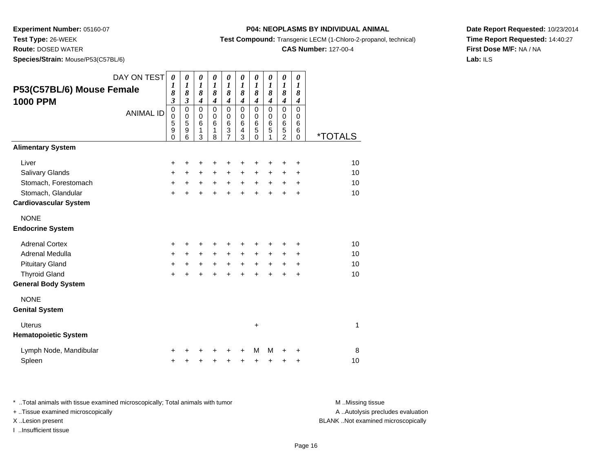**Test Type:** 26-WEEK

**Route:** DOSED WATER

**Species/Strain:** Mouse/P53(C57BL/6)

#### **P04: NEOPLASMS BY INDIVIDUAL ANIMAL**

**Test Compound:** Transgenic LECM (1-Chloro-2-propanol, technical)

### **CAS Number:** 127-00-4

**Date Report Requested:** 10/23/2014**Time Report Requested:** 14:40:27**First Dose M/F:** NA / NA**Lab:** ILS

| P53(C57BL/6) Mouse Female<br><b>1000 PPM</b>                                                                             | DAY ON TEST<br><b>ANIMAL ID</b> | $\boldsymbol{\theta}$<br>1<br>8<br>$\mathfrak{z}$<br>0<br>$\mathbf 0$<br>5<br>9<br>$\overline{0}$ | $\boldsymbol{\theta}$<br>$\boldsymbol{l}$<br>8<br>$\mathfrak{z}$<br>$\pmb{0}$<br>$\pmb{0}$<br>$\overline{5}$<br>9<br>6 | $\boldsymbol{\theta}$<br>1<br>8<br>$\boldsymbol{4}$<br>0<br>$\mathbf 0$<br>6<br>1<br>3 | $\pmb{\theta}$<br>$\boldsymbol{l}$<br>8<br>$\overline{\boldsymbol{4}}$<br>0<br>$\mathbf 0$<br>6<br>1<br>8 | $\boldsymbol{\theta}$<br>1<br>8<br>$\boldsymbol{4}$<br>0<br>0<br>$6\phantom{1}6$<br>3<br>$\overline{7}$ | $\boldsymbol{\theta}$<br>$\boldsymbol{l}$<br>8<br>$\boldsymbol{4}$<br>$\mathbf 0$<br>$\pmb{0}$<br>$\,6$<br>4<br>3 | $\pmb{\theta}$<br>1<br>8<br>$\boldsymbol{4}$<br>$\pmb{0}$<br>0<br>$6\phantom{1}6$<br>5<br>$\mathbf 0$ | $\pmb{\theta}$<br>$\boldsymbol{l}$<br>8<br>$\boldsymbol{4}$<br>0<br>0<br>6<br>5 | $\pmb{\theta}$<br>1<br>8<br>$\boldsymbol{4}$<br>$\mathbf 0$<br>0<br>6<br>$\frac{5}{2}$ | 0<br>1<br>8<br>$\boldsymbol{4}$<br>0<br>0<br>6<br>6 | <i><b>*TOTALS</b></i> |
|--------------------------------------------------------------------------------------------------------------------------|---------------------------------|---------------------------------------------------------------------------------------------------|------------------------------------------------------------------------------------------------------------------------|----------------------------------------------------------------------------------------|-----------------------------------------------------------------------------------------------------------|---------------------------------------------------------------------------------------------------------|-------------------------------------------------------------------------------------------------------------------|-------------------------------------------------------------------------------------------------------|---------------------------------------------------------------------------------|----------------------------------------------------------------------------------------|-----------------------------------------------------|-----------------------|
| <b>Alimentary System</b>                                                                                                 |                                 |                                                                                                   |                                                                                                                        |                                                                                        |                                                                                                           |                                                                                                         |                                                                                                                   |                                                                                                       |                                                                                 |                                                                                        | $\mathbf 0$                                         |                       |
| Liver<br>Salivary Glands<br>Stomach, Forestomach<br>Stomach, Glandular<br><b>Cardiovascular System</b>                   |                                 | $\ddot{}$<br>+<br>+<br>$\ddot{}$                                                                  | +<br>$\ddot{}$<br>$+$                                                                                                  | +<br>+<br>$+$<br>$\ddot{}$                                                             | +<br>+<br>$+$<br>$\ddot{}$                                                                                | +<br>+<br>$+$<br>$\ddot{}$                                                                              | +<br>$\ddot{}$<br>$+$<br>$\ddot{}$                                                                                | +<br>$\ddot{}$<br>$+$<br>$\ddot{}$                                                                    | +<br>+<br>$+$<br>$\ddot{}$                                                      | +<br>+<br>$+$<br>$\ddot{}$                                                             | +<br>+<br>$\ddot{}$<br>+                            | 10<br>10<br>10<br>10  |
| <b>NONE</b><br><b>Endocrine System</b>                                                                                   |                                 |                                                                                                   |                                                                                                                        |                                                                                        |                                                                                                           |                                                                                                         |                                                                                                                   |                                                                                                       |                                                                                 |                                                                                        |                                                     |                       |
| <b>Adrenal Cortex</b><br>Adrenal Medulla<br><b>Pituitary Gland</b><br><b>Thyroid Gland</b><br><b>General Body System</b> |                                 | +<br>+<br>$\ddot{}$<br>$\ddot{}$                                                                  | ٠<br>$+$<br>$\ddot{}$<br>$\ddot{}$                                                                                     | +<br>$\ddot{}$<br>$\ddot{}$<br>$\ddot{}$                                               | $+$<br>$\ddot{}$<br>$\ddot{}$                                                                             | +<br>$\ddot{}$<br>$\ddot{}$<br>$\ddot{}$                                                                | $+$<br>$\ddot{}$<br>$\ddot{}$                                                                                     | ٠<br>$\ddot{}$<br>$\ddot{}$<br>$\ddot{}$                                                              | $\ddot{}$<br>$\ddot{}$<br>$\ddot{}$                                             | +<br>+<br>$\ddot{}$<br>$\ddot{}$                                                       | +<br>$\ddot{}$<br>$\ddot{}$<br>$\ddot{}$            | 10<br>10<br>10<br>10  |
| <b>NONE</b>                                                                                                              |                                 |                                                                                                   |                                                                                                                        |                                                                                        |                                                                                                           |                                                                                                         |                                                                                                                   |                                                                                                       |                                                                                 |                                                                                        |                                                     |                       |
| <b>Genital System</b>                                                                                                    |                                 |                                                                                                   |                                                                                                                        |                                                                                        |                                                                                                           |                                                                                                         |                                                                                                                   |                                                                                                       |                                                                                 |                                                                                        |                                                     |                       |
| <b>Uterus</b><br><b>Hematopoietic System</b>                                                                             |                                 |                                                                                                   |                                                                                                                        |                                                                                        |                                                                                                           |                                                                                                         |                                                                                                                   | $\ddot{}$                                                                                             |                                                                                 |                                                                                        |                                                     | 1                     |
| Lymph Node, Mandibular<br>Spleen                                                                                         |                                 | +<br>$\ddot{}$                                                                                    |                                                                                                                        | +                                                                                      | +                                                                                                         | +<br>+                                                                                                  | +                                                                                                                 | М<br>+                                                                                                | M<br>+                                                                          | +                                                                                      | +<br>+                                              | 8<br>10               |

\* ..Total animals with tissue examined microscopically; Total animals with tumor **M** . Missing tissue M ..Missing tissue A ..Autolysis precludes evaluation + ..Tissue examined microscopically X ..Lesion present BLANK ..Not examined microscopicallyI ..Insufficient tissue